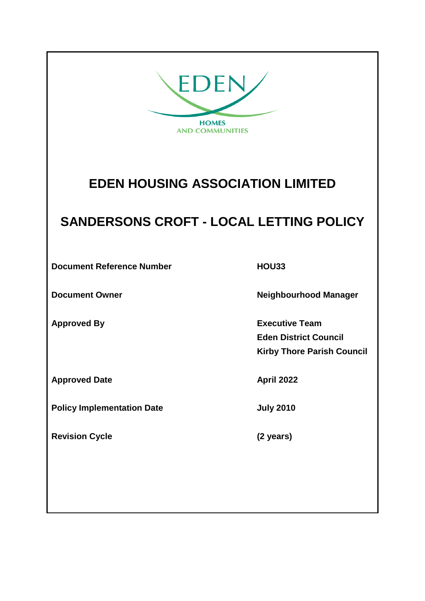

# **EDEN HOUSING ASSOCIATION LIMITED**

# **SANDERSONS CROFT - LOCAL LETTING POLICY**

**Document Reference Number HOU33** 

Approved Date **Approved Date** April 2022

**Policy Implementation Date July 2010** 

**Revision Cycle (2 years)**

**Document Owner Neighbourhood Manager** 

**Approved By Executive Team Eden District Council Kirby Thore Parish Council**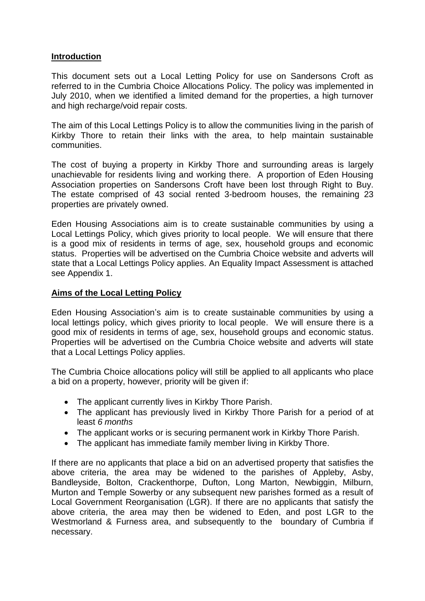#### **Introduction**

This document sets out a Local Letting Policy for use on Sandersons Croft as referred to in the Cumbria Choice Allocations Policy. The policy was implemented in July 2010, when we identified a limited demand for the properties, a high turnover and high recharge/void repair costs.

The aim of this Local Lettings Policy is to allow the communities living in the parish of Kirkby Thore to retain their links with the area, to help maintain sustainable communities.

The cost of buying a property in Kirkby Thore and surrounding areas is largely unachievable for residents living and working there. A proportion of Eden Housing Association properties on Sandersons Croft have been lost through Right to Buy. The estate comprised of 43 social rented 3-bedroom houses, the remaining 23 properties are privately owned.

Eden Housing Associations aim is to create sustainable communities by using a Local Lettings Policy, which gives priority to local people. We will ensure that there is a good mix of residents in terms of age, sex, household groups and economic status. Properties will be advertised on the Cumbria Choice website and adverts will state that a Local Lettings Policy applies. An Equality Impact Assessment is attached see Appendix 1.

#### **Aims of the Local Letting Policy**

Eden Housing Association's aim is to create sustainable communities by using a local lettings policy, which gives priority to local people. We will ensure there is a good mix of residents in terms of age, sex, household groups and economic status. Properties will be advertised on the Cumbria Choice website and adverts will state that a Local Lettings Policy applies.

The Cumbria Choice allocations policy will still be applied to all applicants who place a bid on a property, however, priority will be given if:

- The applicant currently lives in Kirkby Thore Parish.
- The applicant has previously lived in Kirkby Thore Parish for a period of at least *6 months*
- The applicant works or is securing permanent work in Kirkby Thore Parish.
- The applicant has immediate family member living in Kirkby Thore.

If there are no applicants that place a bid on an advertised property that satisfies the above criteria, the area may be widened to the parishes of Appleby, Asby, Bandleyside, Bolton, Crackenthorpe, Dufton, Long Marton, Newbiggin, Milburn, Murton and Temple Sowerby or any subsequent new parishes formed as a result of Local Government Reorganisation (LGR). If there are no applicants that satisfy the above criteria, the area may then be widened to Eden, and post LGR to the Westmorland & Furness area, and subsequently to the boundary of Cumbria if necessary.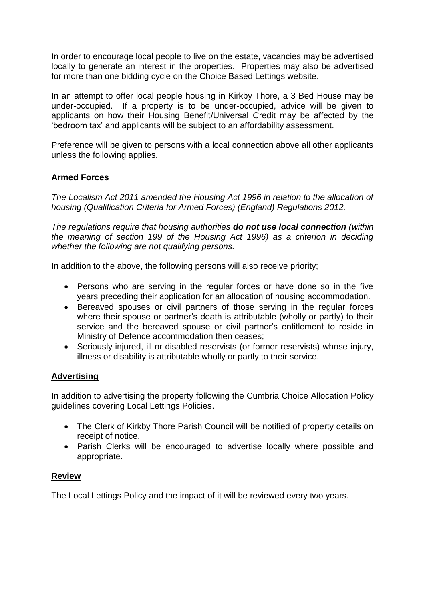In order to encourage local people to live on the estate, vacancies may be advertised locally to generate an interest in the properties. Properties may also be advertised for more than one bidding cycle on the Choice Based Lettings website.

In an attempt to offer local people housing in Kirkby Thore, a 3 Bed House may be under-occupied. If a property is to be under-occupied, advice will be given to applicants on how their Housing Benefit/Universal Credit may be affected by the 'bedroom tax' and applicants will be subject to an affordability assessment.

Preference will be given to persons with a local connection above all other applicants unless the following applies.

### **Armed Forces**

*The Localism Act 2011 amended the Housing Act 1996 in relation to the allocation of housing (Qualification Criteria for Armed Forces) (England) Regulations 2012.* 

*The regulations require that housing authorities do not use local connection (within the meaning of section 199 of the Housing Act 1996) as a criterion in deciding whether the following are not qualifying persons.* 

In addition to the above, the following persons will also receive priority;

- Persons who are serving in the regular forces or have done so in the five years preceding their application for an allocation of housing accommodation.
- Bereaved spouses or civil partners of those serving in the regular forces where their spouse or partner's death is attributable (wholly or partly) to their service and the bereaved spouse or civil partner's entitlement to reside in Ministry of Defence accommodation then ceases;
- Seriously injured, ill or disabled reservists (or former reservists) whose injury, illness or disability is attributable wholly or partly to their service.

### **Advertising**

In addition to advertising the property following the Cumbria Choice Allocation Policy guidelines covering Local Lettings Policies.

- The Clerk of Kirkby Thore Parish Council will be notified of property details on receipt of notice.
- Parish Clerks will be encouraged to advertise locally where possible and appropriate.

#### **Review**

The Local Lettings Policy and the impact of it will be reviewed every two years.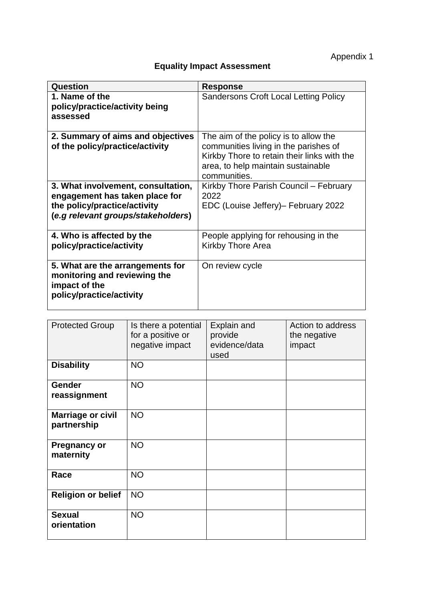Appendix 1

# **Equality Impact Assessment**

| Question                                                                                                                                   | <b>Response</b>                                                                                                                                                                     |  |  |
|--------------------------------------------------------------------------------------------------------------------------------------------|-------------------------------------------------------------------------------------------------------------------------------------------------------------------------------------|--|--|
| 1. Name of the<br>policy/practice/activity being<br>assessed                                                                               | <b>Sandersons Croft Local Letting Policy</b>                                                                                                                                        |  |  |
| 2. Summary of aims and objectives<br>of the policy/practice/activity                                                                       | The aim of the policy is to allow the<br>communities living in the parishes of<br>Kirkby Thore to retain their links with the<br>area, to help maintain sustainable<br>communities. |  |  |
| 3. What involvement, consultation,<br>engagement has taken place for<br>the policy/practice/activity<br>(e.g relevant groups/stakeholders) | Kirkby Thore Parish Council - February<br>2022<br>EDC (Louise Jeffery) – February 2022                                                                                              |  |  |
| 4. Who is affected by the<br>policy/practice/activity                                                                                      | People applying for rehousing in the<br><b>Kirkby Thore Area</b>                                                                                                                    |  |  |
| 5. What are the arrangements for<br>monitoring and reviewing the<br>impact of the<br>policy/practice/activity                              | On review cycle                                                                                                                                                                     |  |  |

| <b>Protected Group</b>                  | Is there a potential<br>for a positive or<br>negative impact | Explain and<br>provide<br>evidence/data<br>used | Action to address<br>the negative<br>impact |
|-----------------------------------------|--------------------------------------------------------------|-------------------------------------------------|---------------------------------------------|
| <b>Disability</b>                       | <b>NO</b>                                                    |                                                 |                                             |
| Gender<br>reassignment                  | <b>NO</b>                                                    |                                                 |                                             |
| <b>Marriage or civil</b><br>partnership | <b>NO</b>                                                    |                                                 |                                             |
| <b>Pregnancy or</b><br>maternity        | <b>NO</b>                                                    |                                                 |                                             |
| Race                                    | <b>NO</b>                                                    |                                                 |                                             |
| <b>Religion or belief</b>               | <b>NO</b>                                                    |                                                 |                                             |
| <b>Sexual</b><br>orientation            | <b>NO</b>                                                    |                                                 |                                             |